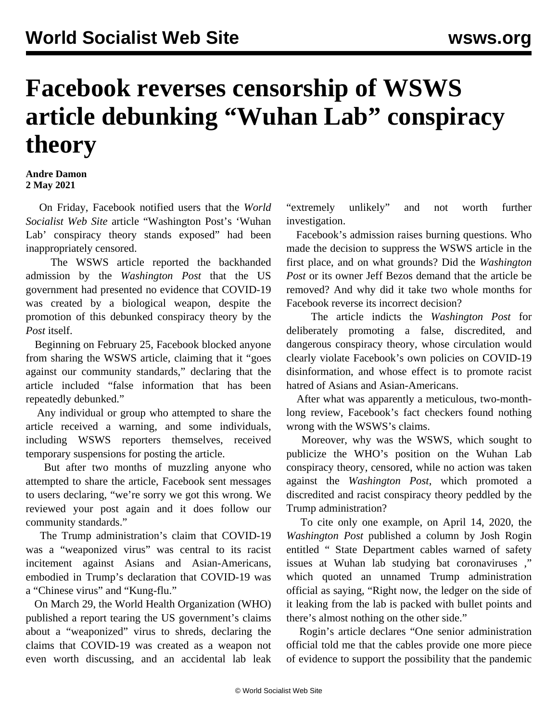## **Facebook reverses censorship of WSWS article debunking "Wuhan Lab" conspiracy theory**

## **Andre Damon 2 May 2021**

 On Friday, Facebook notified users that the *World Socialist Web Site* article "Washington Post's 'Wuhan Lab' conspiracy theory stands exposed" had been inappropriately censored.

 The [WSWS article](/en/articles/2021/02/24/pers-f24.html) reported the backhanded admission by the *Washington Post* that the US government had presented no evidence that COVID-19 was created by a biological weapon, despite the promotion of this debunked conspiracy theory by the *Post* itself.

 Beginning on February 25, Facebook blocked anyone from sharing the WSWS article, claiming that it "goes against our community standards," declaring that the article included "false information that has been repeatedly debunked."

 Any individual or group who attempted to share the article received a warning, and some individuals, including WSWS reporters themselves, received temporary suspensions for posting the article.

 But after two months of muzzling anyone who attempted to share the article, Facebook sent messages to users declaring, "we're sorry we got this wrong. We reviewed your post again and it does follow our community standards."

 The Trump administration's claim that COVID-19 was a "weaponized virus" was central to its racist incitement against Asians and Asian-Americans, embodied in Trump's declaration that COVID-19 was a "Chinese virus" and "Kung-flu."

 On March 29, the World Health Organization (WHO) published a report tearing the US government's claims about a "weaponized" virus to shreds, declaring the claims that COVID-19 was created as a weapon not even worth discussing, and an accidental lab leak "extremely unlikely" and not worth further investigation.

 Facebook's admission raises burning questions. Who made the decision to suppress the WSWS article in the first place, and on what grounds? Did the *Washington Post* or its owner Jeff Bezos demand that the article be removed? And why did it take two whole months for Facebook reverse its incorrect decision?

 The article indicts the *Washington Post* for deliberately promoting a false, discredited, and dangerous conspiracy theory, whose circulation would clearly violate Facebook's own policies on COVID-19 disinformation, and whose effect is to promote racist hatred of Asians and Asian-Americans.

 After what was apparently a meticulous, two-monthlong review, Facebook's fact checkers found nothing wrong with the WSWS's claims.

 Moreover, why was the WSWS, which sought to publicize the WHO's position on the Wuhan Lab conspiracy theory, censored, while no action was taken against the *Washington Post*, which promoted a discredited and racist conspiracy theory peddled by the Trump administration?

 To cite only one example, on April 14, 2020, the *Washington Post* published a column by Josh Rogin entitled " [State Department cables warned of safety](https://www.washingtonpost.com/opinions/2020/04/14/state-department-cables-warned-safety-issues-wuhan-lab-studying-bat-coronaviruses/) [issues at Wuhan lab studying bat coronaviruses](https://www.washingtonpost.com/opinions/2020/04/14/state-department-cables-warned-safety-issues-wuhan-lab-studying-bat-coronaviruses/) ," which quoted an unnamed Trump administration official as saying, "Right now, the ledger on the side of it leaking from the lab is packed with bullet points and there's almost nothing on the other side."

 Rogin's article declares "One senior administration official told me that the cables provide one more piece of evidence to support the possibility that the pandemic